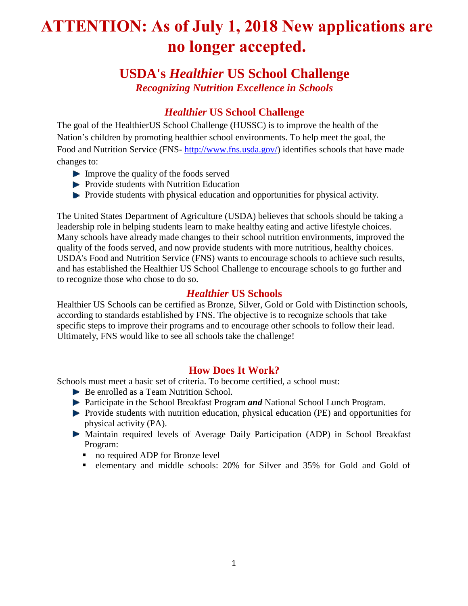# **ATTENTION: As of July 1, 2018 New applications are no longer accepted.**

## **USDA's** *Healthier* **US School Challenge** *Recognizing Nutrition Excellence in Schools*

### *Healthier* **US School Challenge**

The goal of the HealthierUS School Challenge (HUSSC) is to improve the health of the Nation's children by promoting healthier school environments. To help meet the goal, the [Food and Nutrition Service \(](http://www.fns.usda.gov/)FNS- [http://www.fns.usda.gov/\)](http://www.fns.usda.gov/) identifies schools that have made changes to:

- Improve the quality of the foods served
- $\blacktriangleright$  Provide students with Nutrition Education
- **Provide students with physical education and opportunities for physical activity.**

The United States Department of Agriculture (USDA) believes that schools should be taking a leadership role in helping students learn to make healthy eating and active lifestyle choices. Many schools have already made changes to their school nutrition environments, improved the quality of the foods served, and now provide students with more nutritious, healthy choices. USDA's Food and Nutrition Service (FNS) wants to encourage schools to achieve such results, and has established the Healthier US School Challenge to encourage schools to go further and to recognize those who chose to do so.

#### *Healthier* **US Schools**

Healthier US Schools can be certified as Bronze, Silver, Gold or Gold with Distinction schools, according to standards established by FNS. The objective is to recognize schools that take specific steps to improve their programs and to encourage other schools to follow their lead. Ultimately, FNS would like to see all schools take the challenge!

#### **How Does It Work?**

Schools must meet a basic set of criteria. To become certified, a school must:

- Be enrolled as a Team Nutrition School.
- Participate in the School Breakfast Program *and* National School Lunch Program.
- **Provide students with nutrition education, physical education (PE) and opportunities for** physical activity (PA).
- Maintain required levels of Average Daily Participation (ADP) in School Breakfast Program:
	- no required ADP for Bronze level
	- elementary and middle schools: 20% for Silver and 35% for Gold and Gold of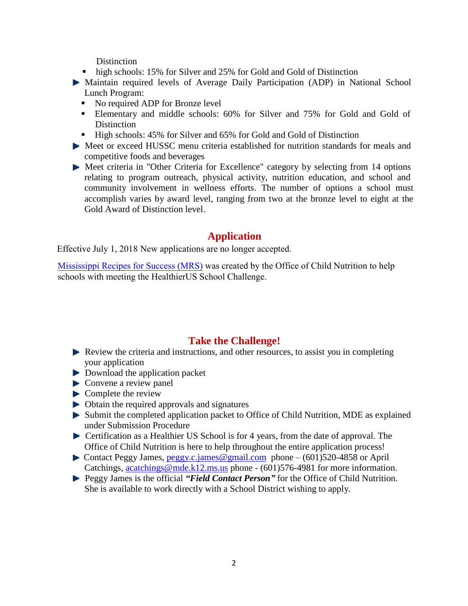**Distinction** 

- high schools: 15% for Silver and 25% for Gold and Gold of Distinction
- Maintain required levels of Average Daily Participation (ADP) in National School Lunch Program:
	- No required ADP for Bronze level
	- Elementary and middle schools: 60% for Silver and 75% for Gold and Gold of **Distinction**
	- High schools: 45% for Silver and 65% for Gold and Gold of Distinction
- Meet or exceed HUSSC menu criteria established for nutrition standards for meals and competitive foods and beverages
- Meet criteria in "Other Criteria for Excellence" category by selecting from 14 options relating to program outreach, physical activity, nutrition education, and school and community involvement in wellness efforts. The number of options a school must accomplish varies by award level, ranging from two at the bronze level to eight at the Gold Award of Distinction level.

#### **Application**

Effective July 1, 2018 New applications are no longer accepted.

[Mississippi Recipes for Success \(MRS\)](https://mrs.mdek12.org/) was created by the Office of Child Nutrition to help schools with meeting the HealthierUS School Challenge.

#### **Take the Challenge!**

- $\blacktriangleright$  Review the criteria and instructions, and other resources, to assist you in completing your application
- Download the application packet
- Convene a review panel
- $\blacktriangleright$  Complete the review
- $\triangleright$  Obtain the required approvals and signatures
- Submit the completed application packet to Office of Child Nutrition, MDE as explained under Submission Procedure
- Certification as a Healthier US School is for 4 years, from the date of approval. The Office of Child Nutrition is here to help throughout the entire application process!
- Contact Peggy James, [peggy.c.james@gmail.com](mailto:peggy.c.james@gmail.com) phone  $(601)520-4858$  or April Catchings, [acatchings@mde.k12.ms.us p](mailto:acatchings@mde.k12.ms.us)hone - (601)576-4981 for more information.
- Peggy James is the official *"Field Contact Person"* for the Office of Child Nutrition. She is available to work directly with a School District wishing to apply.